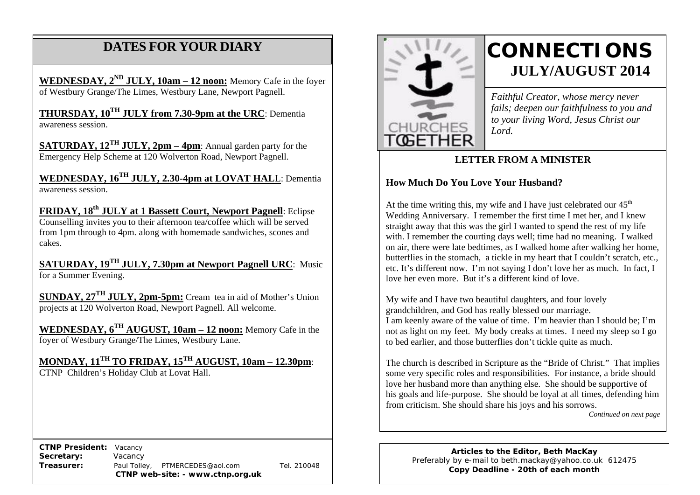# **DATES FOR YOUR DIARY**

**WEDNESDAY, 2ND JULY, 10am – 12 noon:** Memory Cafe in the foyer of Westbury Grange/The Limes, Westbury Lane, Newport Pagnell.

 **THURSDAY, 10TH JULY from 7.30-9pm at the URC**: Dementia awareness session.

**SATURDAY, 12TH JULY, 2pm – 4pm**: Annual garden party for the Emergency Help Scheme at 120 Wolverton Road, Newport Pagnell.

**WEDNESDAY, 16TH JULY, 2.30-4pm at LOVAT HAL**L: Dementia awareness session.

FRIDAY, 18<sup>th</sup> JULY at 1 Bassett Court, Newport Pagnell: Eclipse Counselling invites you to their afternoon tea/coffee which will be served from 1pm through to 4pm. along with homemade sandwiches, scones and cakes.

**SATURDAY, 19TH JULY, 7.30pm at Newport Pagnell URC**: Music for a Summer Evening.

**SUNDAY, 27TH JULY, 2pm-5pm:** Cream tea in aid of Mother's Union projects at 120 Wolverton Road, Newport Pagnell. All welcome.

**WEDNESDAY, 6TH AUGUST, 10am – 12 noon:** Memory Cafe in the foyer of Westbury Grange/The Limes, Westbury Lane.

**MONDAY, 11TH TO FRIDAY, 15TH AUGUST, 10am – 12.30pm**: CTNP Children's Holiday Club at Lovat Hall.

 **CTNP President:** Vacancy **Secretary:** Vacancy **Treasurer:** Paul Tolley, PTMERCEDES@aol.com Tel. 210048 **CTNP web-site: - www.ctnp.org.uk**



# **CONNECTIONS JULY/AUGUST 2014**

*Faithful Creator, whose mercy never fails; deepen our faithfulness to you and to your living Word, Jesus Christ our Lord.*

### **LETTER FROM A MINISTER**

## **How Much Do You Love Your Husband?**

At the time writing this, my wife and I have just celebrated our  $45<sup>th</sup>$ Wedding Anniversary. I remember the first time I met her, and I knew straight away that this was the girl I wanted to spend the rest of my life with. I remember the courting days well; time had no meaning. I walked on air, there were late bedtimes, as I walked home after walking her home, butterflies in the stomach, a tickle in my heart that I couldn't scratch, etc., etc. It's different now. I'm not saying I don't love her as much. In fact, I love her even more. But it's a different kind of love.

My wife and I have two beautiful daughters, and four lovely grandchildren, and God has really blessed our marriage. I am keenly aware of the value of time. I'm heavier than I should be; I'm not as light on my feet. My body creaks at times. I need my sleep so I go to bed earlier, and those butterflies don't tickle quite as much.

The church is described in Scripture as the "Bride of Christ." That implies some very specific roles and responsibilities. For instance, a bride should love her husband more than anything else. She should be supportive of his goals and life-purpose. She should be loyal at all times, defending him from criticism. She should share his joys and his sorrows.

*Continued on next page*

**Articles to the Editor, Beth MacKay** Preferably by e-mail to beth.mackay@yahoo.co.uk 612475 **Copy Deadline - 20th of each month**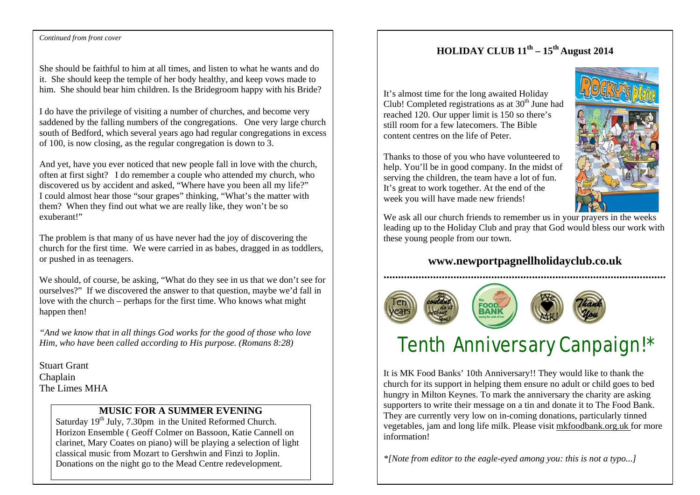## **HOLIDAY CLUB 11th – 15th August 2014**

It's almost time for the long awaited Holiday Club! Completed registrations as at  $30<sup>th</sup>$  June had reached 120. Our upper limit is 150 so there's still room for a few latecomers. The Bible content centres on the life of Peter.

Thanks to those of you who have volunteered to help. You'll be in good company. In the midst of serving the children, the team have a lot of fun. It's great to work together. At the end of the week you will have made new friends!



We ask all our church friends to remember us in your prayers in the weeks leading up to the Holiday Club and pray that God would bless our work with these young people from our town.

## **www.newportpagnellholidayclub.co.uk**



# Tenth Anniversary Canpaign!\*

It is MK Food Banks' 10th Anniversary!! They would like to thank the church for its support in helping them ensure no adult or child goes to bed hungry in Milton Keynes. To mark the anniversary the charity are asking supporters to write their message on a tin and donate it to The Food Bank. They are currently very low on in-coming donations, particularly tinned vegetables, jam and long life milk. Please visit mkfoodbank.org.uk for more information!

*\*[Note from editor to the eagle-eyed among you: this is not a typo...]*

#### **Continued from front cover**

She should be faithful to him at all times, and listen to what he wants and do it. She should keep the temple of her body healthy, and keep vows made to him. She should bear him children. Is the Bridegroom happy with his Bride?

I do have the privilege of visiting a number of churches, and become very saddened by the falling numbers of the congregations. One very large church south of Bedford, which several years ago had regular congregations in excess of 100, is now closing, as the regular congregation is down to 3.

And yet, have you ever noticed that new people fall in love with the church, often at first sight? I do remember a couple who attended my church, who discovered us by accident and asked, "Where have you been all my life?" I could almost hear those "sour grapes" thinking, "What's the matter with them? When they find out what we are really like, they won't be so exuberant!"

The problem is that many of us have never had the joy of discovering the church for the first time. We were carried in as babes, dragged in as toddlers, or pushed in as teenagers.

We should, of course, be asking, "What do they see in us that we don't see for ourselves?" If we discovered the answer to that question, maybe we'd fall in love with the church – perhaps for the first time. Who knows what might happen then!

*"And we know that in all things God works for the good of those who love Him, who have been called according to His purpose. (Romans 8:28)*

Stuart Grant Chaplain The Limes MHA

## **MUSIC FOR A SUMMER EVENING**

Saturday 19<sup>th</sup> July, 7.30pm in the United Reformed Church. Horizon Ensemble ( Geoff Colmer on Bassoon, Katie Cannell on clarinet, Mary Coates on piano) will be playing a selection of light classical music from Mozart to Gershwin and Finzi to Joplin. Donations on the night go to the Mead Centre redevelopment.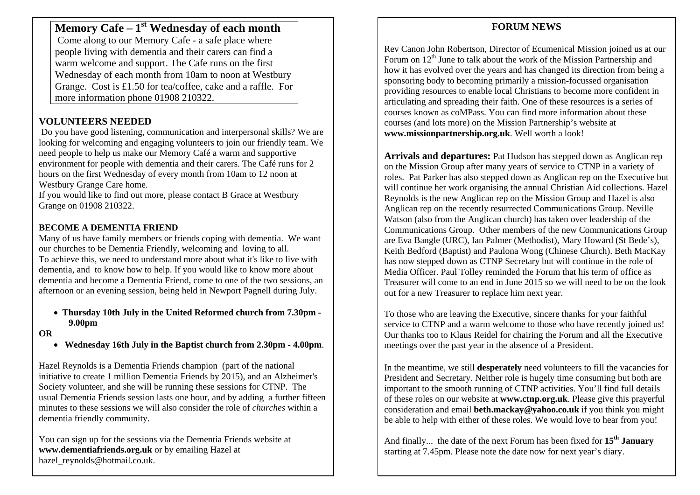## **Memory Cafe – 1st Wednesday of each month**

Come along to our Memory Cafe - a safe place where people living with dementia and their carers can find a warm welcome and support. The Cafe runs on the first Wednesday of each month from 10am to noon at Westbury Grange. Cost is £1.50 for tea/coffee, cake and a raffle. For more information phone 01908 210322.

## **VOLUNTEERS NEEDED**

Do you have good listening, communication and interpersonal skills? We are looking for welcoming and engaging volunteers to join our friendly team. We need people to help us make our Memory Café a warm and supportive environment for people with dementia and their carers. The Café runs for 2 hours on the first Wednesday of every month from 10am to 12 noon at Westbury Grange Care home.

If you would like to find out more, please contact B Grace at Westbury Grange on 01908 210322.

## **BECOME A DEMENTIA FRIEND**

Many of us have family members or friends coping with dementia. We want our churches to be Dementia Friendly, welcoming and loving to all. To achieve this, we need to understand more about what it's like to live with dementia, and to know how to help. If you would like to know more about dementia and become a Dementia Friend, come to one of the two sessions, an afternoon or an evening session, being held in Newport Pagnell during July.

#### • **Thursday 10th July in the United Reformed church from 7.30pm - 9.00pm**

#### **OR**

• **Wednesday 16th July in the Baptist church from 2.30pm - 4.00pm**.

Hazel Reynolds is a Dementia Friends champion (part of the national initiative to create 1 million Dementia Friends by 2015), and an Alzheimer's Society volunteer, and she will be running these sessions for CTNP. The usual Dementia Friends session lasts one hour, and by adding a further fifteen minutes to these sessions we will also consider the role of *churches* within a dementia friendly community.

You can sign up for the sessions via the Dementia Friends website at **www.dementiafriends.org.uk** or by emailing Hazel at hazel\_reynolds@hotmail.co.uk.

## **FORUM NEWS**

Rev Canon John Robertson, Director of Ecumenical Mission joined us at our Forum on  $12<sup>th</sup>$  June to talk about the work of the Mission Partnership and how it has evolved over the years and has changed its direction from being a sponsoring body to becoming primarily a mission-focussed organisation providing resources to enable local Christians to become more confident in articulating and spreading their faith. One of these resources is a series of courses known as coMPass. You can find more information about these courses (and lots more) on the Mission Partnership's website at **www.missionpartnership.org.uk**. Well worth a look!

**Arrivals and departures:** Pat Hudson has stepped down as Anglican rep on the Mission Group after many years of service to CTNP in a variety of roles. Pat Parker has also stepped down as Anglican rep on the Executive but will continue her work organising the annual Christian Aid collections. Hazel Reynolds is the new Anglican rep on the Mission Group and Hazel is also Anglican rep on the recently resurrected Communications Group. Neville Watson (also from the Anglican church) has taken over leadership of the Communications Group. Other members of the new Communications Group are Eva Bangle (URC), Ian Palmer (Methodist), Mary Howard (St Bede's), Keith Bedford (Baptist) and Paulona Wong (Chinese Church). Beth MacKay has now stepped down as CTNP Secretary but will continue in the role of Media Officer. Paul Tolley reminded the Forum that his term of office as Treasurer will come to an end in June 2015 so we will need to be on the look out for a new Treasurer to replace him next year.

To those who are leaving the Executive, sincere thanks for your faithful service to CTNP and a warm welcome to those who have recently joined us! Our thanks too to Klaus Reidel for chairing the Forum and all the Executive meetings over the past year in the absence of a President.

In the meantime, we still **desperately** need volunteers to fill the vacancies for President and Secretary. Neither role is hugely time consuming but both are important to the smooth running of CTNP activities. You'll find full details of these roles on our website at **www.ctnp.org.uk**. Please give this prayerful consideration and email **beth.mackay@yahoo.co.uk** if you think you might be able to help with either of these roles. We would love to hear from you!

And finally... the date of the next Forum has been fixed for **15th January** starting at 7.45pm. Please note the date now for next year's diary.